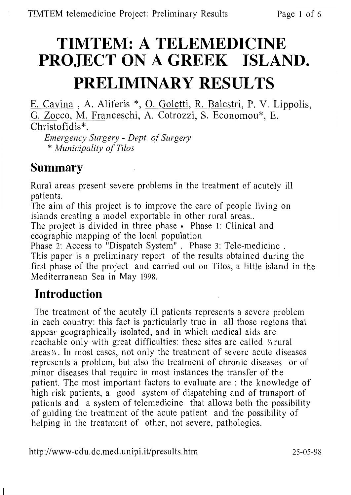# TIMTEM: A TELEMEDICINE PROJECT ON A GREEK ISLAND. PRELIMINARY RESTJLTS

E. Cavina, A. Aliferis \*, O. Goletti, R. Balestri, P. V. Lippolis, G. Zocco, M. Franceschi, A. Cotrozzi, S. Economou\*, E. Christofidis\*.

Emergency Surgery - Dept. of Surgery \* Municipality of Tilos

#### Summary

Rural areas present severe problems in the treatment of acutelv ill patients.

The aim of this project is to improve the care of people living on islands creating a model exportable in other rural areas..

The project is divided in three phase. Phase 1: Clinical and ecographic mapping of the local population<br>Phase 2: Access to "Dispatch System". Phase 3: Tele-medicine.

This paper is a preliminary report of the results obtained during the first phase of the project and carried out on Tilos, a little island in the Mediterranean Sea in May 1998.

# Introduction

The treatment of the acutely ill patients represents a severe problem in each country: this fact is particularly true in all those regions that appear geographically isolated, and in which medical aids are reachable only with great difficulties: these sites are called 'Arural areas<sup>%</sup>. In most cases, not only the treatment of severe acute diseases represents a problem, but also the treatment of chronic diseases or of minor diseases that require in most instances the transfer of the patient. The most important factors to evaluate are : the knowledge of high risk patients, a good system of dispatching and of transport of patients and a system of telemedicine that allows both the possibility of guiding the treatment of the acute patient and the possibility of helping in the treatment of other, not severe, pathologies.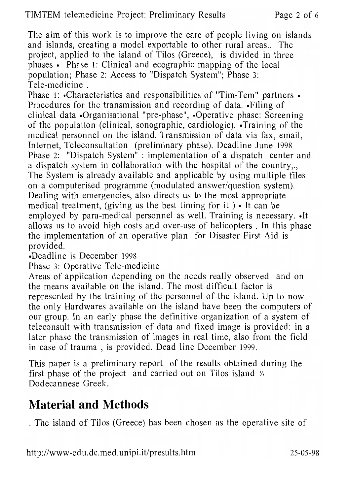The aim of this work is to improve the care of people living on islands and islands, creating a model exportable to other rural areas.. The project, applied to the island of Tilos (Greece), is divided in three phases . Phase 1: clinical and ecographic mapping of the local population; Phase 2: Access to "Dispatch System"; Phase 3: Tele-medicine .

Phase 1: .Characteristics and responsibilities of "Tim-Tem" partners . Procedures for the transmission and recording of data. Filing of clinical data .Organisational "pre-phase", .Qperative phase: Screening of the population (clinical, sonographic, cardiologic). .Training of the medical personnel on the island. Transmission of data via fax, email, Internet, Teleconsultation (preliminary phase). Deadline June l99g Phase 2: "Dispatch System" : implementation of a dispatch center and a dispatch system in collaboration with the hospital of the country,., The System is already available and applicable by using multiple files on a computerised programme (modulated answer/question system). Dealing with emergencies, also directs us to the most appropriate medical treatment, (giving us the best timing for it)  $\cdot$  It can be employed by para-medical personnel as well. Training is necessary. It allows us to avoid high costs and over-use of helicopters . In this phase the implementation of an operative plan for Disaster First Aid is provided.

.Deadline is December 1998

Phase 3: Operative Tele-medicine

Areas of application depending on the needs really observed and on the means available on the island. The most difficult factor is represented by the training of the personnel of the island. Up to now the only Hardwares available on the island have been the computers of our group. In an early phase the definitive organization of a system of teleconsult with transmission of data and fixed image is provided: in a later phase the transmission of images in real time, also from the field in case of trauma, is provided. Dead line December 1999.

This paper is a preliminary report of the results obtained during the first phase of the project and carried out on Tilos island  $\frac{1}{2}$ Dodecannese Greek.

#### Material and Methods

. The island of Tilos (Greece) has been chosen as the operative site of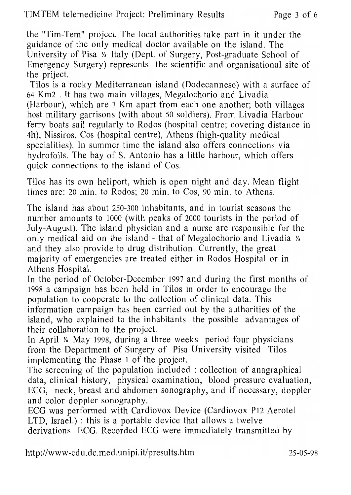the "Tim-Tem" project. The local authorities take part in it under the guidance of the only medical doctor available on the island. The University of Pisa % Italy (Dept. of Surgery, Post-graduate School of Emergency Surgery) represents the scientific and organisational site of the priject.

Tilos is a rocky Mediterranean island (Dodecanneso) with a surface of 64 Km2. It has two main villages, Megalochorio and Livadia (Harbour), which are 7 Km apart from each one another; both villages host military garrisons (with about 50 soldiers). From Livadia Harbour ferry boats sail regularly to Rodos (hospital centre; covering distance in 4h), Nissiros, Cos (hospital centre), Athens (high-quality medical specialities). In summer time the island also offers connections via hydrofoils. The bay of S. Antonio has a little harbour, which offers quick connections to the island of Cos.

Tilos has its own heliport, which is open night and day. Mean flight times are: 20 min. to Rodos; 20 min. to Cos, 90 min. to Athens.

The island has about 250-300 inhabitants, and in tourist seasons the number amounts to 1000 (with peaks of 2000 tourists in the period of July-August). The island physician and a nurse are responsible for the only medical aid on the island - that of Megalochorio and Livadia  $\frac{1}{8}$ and they also provide to drug distribution. Currently, the great majority of emergencies are treated either in Rodos Hospital or in Athens Hospital.

In the period of October-December 1997 and during the first months of 1998 a campaign has been held in Tilos in order to encourage the poputation to cooperate to the collection of clinical data. This information campaign has been carried out by the authorities of the island, who explained to the inhabitants the possible advantages of their collaboration to the project.

In April % May 1998, during a three weeks period four physicians from the Department of Surgery of Pisa University visited Tilos implementing the Phase 1 of the project.

The screening of the population included : collection of anagraphical data, clinical history, physical examination, blood pressure evaluation, ECG, neck, breast and abdomen sonography, and if necessary, doppler and color doppler sonography.

ECG was performed with Cardiovox Device (Cardiovox P12 Aerotel LTD, Israel.) : this is a portable device that allows a twelve derivations ECG. Recorded ECG were immediately transmitted bv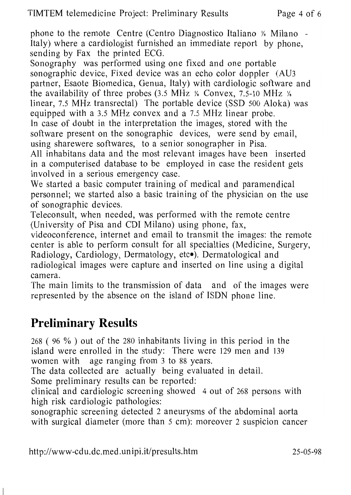phone to the remote Centre (Centro Diagnostico Italiano  $\frac{1}{2}$  Milano -Italy) where a cardiologist furnished an immediate report by phone. sending by Fax the printed ECG.

Sonography was performed using one fixed and one portable sonographic device, Fixed device was an echo color doppler (AU3 partner, Esaote Biomedica, Genua, Italy) with cardiologic software and the availability of three probes  $(3.5 \text{ MHz})$  % Convex, 7.5-10 MHz % linear, 7.5 MHz transrectal) The portable device (SSD 500 Aloka) was equipped with a 3.5 MHz convex and a 7.5 MHz linear probe. In case of doubt in the interpretation the images, stored with the software present on the sonographic devices, were send by email, using sharewere softwares, to a senior sonographer in Pisa.

A11 inhabitans data and the most relevant images have been inserted in a computerised database to be employed in case the resident gets involved in a serious emergency case.

We started a basic computer training of medical and paramendical personnel; we started also a basic training of the physician on the use of sonographic devices.

Teleconsult, when needed, was performed with the remote centre (University of Pisa and CDI Milano) using phone, fax,

videoconference, internet and email to transmit the images: the remote center is able to perform consult for all specialties (Medicine, Surgery, Radiology, Cardiology, Dermatology, etc $\bullet$ ). Dermatological and radiological images were capture and inserted on line using a digital camera.

The main limits to the transmission of data and of the images were represented by the absence on the island of ISDN phone line.

# Preliminarv Results

268 (  $96\%$  ) out of the 280 inhabitants living in this period in the island were enrolled in the study: There were 129 men and 139 women with age ranging from 3 to 88 years. age ranging from 3 to 88 years.

The data collected are actually being evaluated in detail. Some preliminary results can be reported:

clinical and cardiologic screening showed 4 out of 268 persons with high risk cardiologic pathologies:

sonographic screening detected 2 aneurysms of the abdominal aorta with surgical diameter (more than 5 cm): moreover 2 suspicion cancer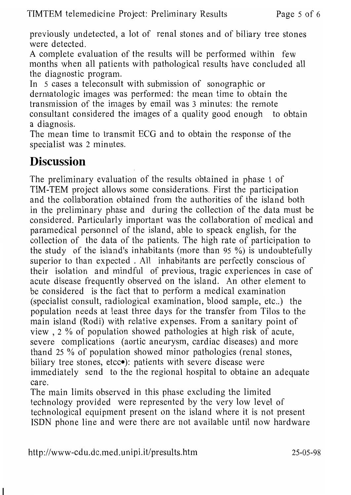previously undetected, alot of renal stones and of biliarv tree stones were detected.

A complete evaluation of the results will be performed within few months when all patients with pathological results have concluded all the diagnostic program.

In 5 cases a teleconsult with submission of sonographic or dermatologic images was performed: the mean time to obtain the transmission of the images by email was 3 minutes: the remote consultant considered the images of a quality good enough to obtain a diagnosis.

The mean time to transmit ECG and to obtain the response of the specialist was 2 minutes.

#### **Discussion**

The preliminary evaluation of the results obtained in phase I of TIM-TEM project allows some considerations. First the participation and the collaboration obtained from the authorities of the island both in the preliminary phase and during the collection of the data must be considered. Particularly important was the collaboration of medical and paramedical personnel of the island, able to speack english, for the collection of the data of the patients. The high rate of participation to the study of the island's inhabitants (more than 95 %) is undoubtefully superior to than expected . All inhabitants are perfectly conscious of their isolation and mindful of previous, tragic experiences in case of acute disease frequently observed on the island. An other element to be considered is the fact that to perform a medical examination (specialist consult, radiological examination, blood sample, etc..) the population needs at least three days for the transfer from Tilos to the main island (Rodi) with relative expenses. From a sanitary point of view,  $2\%$  of population showed pathologies at high risk of acute, severe complications (aortic aneurysm, cardiac diseases) and more thand 25 % of population showed minor pathologies (renal stones, biliary tree stones, etcc $\bullet$ ): patients with severe disease were immediately send to the the regional hospital to obtaine an adequate care.

The main limits observed in this phase excluding the limited technology provided were represented by the very low level of technological equipment present on the island where it is not present ISDN phone line and were there are not available until now hardware